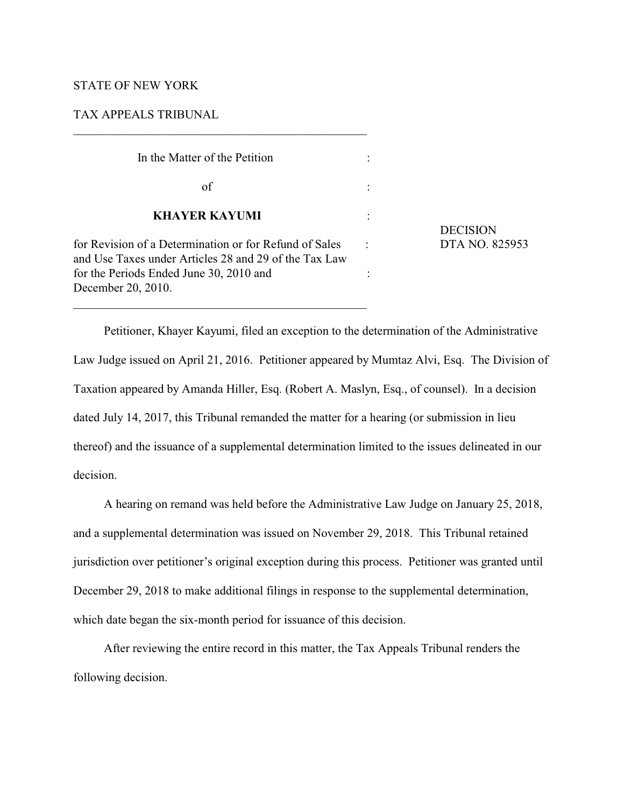# STATE OF NEW YORK

# TAX APPEALS TRIBUNAL

| In the Matter of the Petition                                                                                   |                 |
|-----------------------------------------------------------------------------------------------------------------|-----------------|
| of                                                                                                              |                 |
| <b>KHAYER KAYUMI</b>                                                                                            | <b>DECISION</b> |
| for Revision of a Determination or for Refund of Sales<br>and Use Taxes under Articles 28 and 29 of the Tax Law | DTA NO. 825953  |
| for the Periods Ended June 30, 2010 and<br>December 20, 2010.                                                   |                 |

 $\mathcal{L}_\mathcal{L} = \{ \mathcal{L}_\mathcal{L} = \{ \mathcal{L}_\mathcal{L} = \{ \mathcal{L}_\mathcal{L} = \{ \mathcal{L}_\mathcal{L} = \{ \mathcal{L}_\mathcal{L} = \{ \mathcal{L}_\mathcal{L} = \{ \mathcal{L}_\mathcal{L} = \{ \mathcal{L}_\mathcal{L} = \{ \mathcal{L}_\mathcal{L} = \{ \mathcal{L}_\mathcal{L} = \{ \mathcal{L}_\mathcal{L} = \{ \mathcal{L}_\mathcal{L} = \{ \mathcal{L}_\mathcal{L} = \{ \mathcal{L}_\mathcal{$ 

Petitioner, Khayer Kayumi, filed an exception to the determination of the Administrative Law Judge issued on April 21, 2016. Petitioner appeared by Mumtaz Alvi, Esq. The Division of Taxation appeared by Amanda Hiller, Esq. (Robert A. Maslyn, Esq., of counsel). In a decision dated July 14, 2017, this Tribunal remanded the matter for a hearing (or submission in lieu thereof) and the issuance of a supplemental determination limited to the issues delineated in our decision.

A hearing on remand was held before the Administrative Law Judge on January 25, 2018, and a supplemental determination was issued on November 29, 2018. This Tribunal retained jurisdiction over petitioner's original exception during this process. Petitioner was granted until December 29, 2018 to make additional filings in response to the supplemental determination, which date began the six-month period for issuance of this decision.

After reviewing the entire record in this matter, the Tax Appeals Tribunal renders the following decision.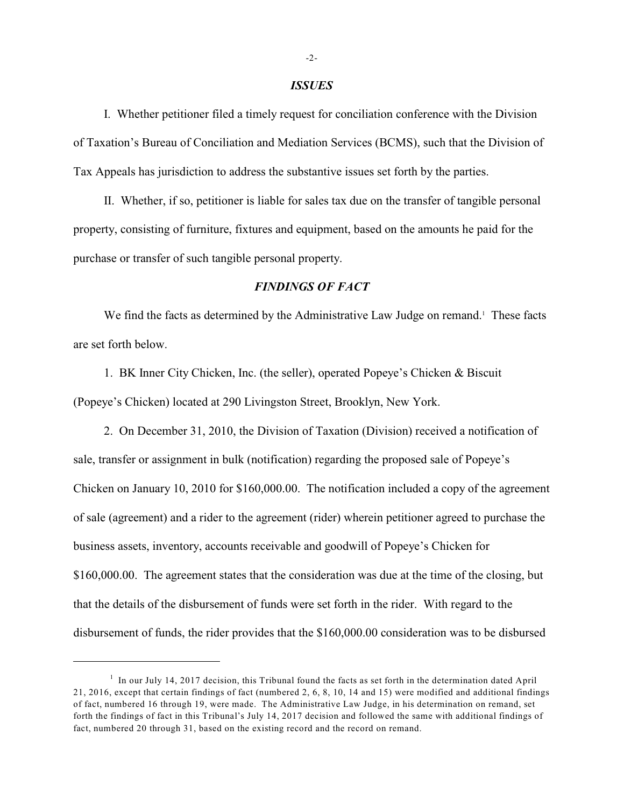#### *ISSUES*

I. Whether petitioner filed a timely request for conciliation conference with the Division of Taxation's Bureau of Conciliation and Mediation Services (BCMS), such that the Division of Tax Appeals has jurisdiction to address the substantive issues set forth by the parties.

II. Whether, if so, petitioner is liable for sales tax due on the transfer of tangible personal property, consisting of furniture, fixtures and equipment, based on the amounts he paid for the purchase or transfer of such tangible personal property.

### *FINDINGS OF FACT*

We find the facts as determined by the Administrative Law Judge on remand. These facts are set forth below.

1. BK Inner City Chicken, Inc. (the seller), operated Popeye's Chicken & Biscuit (Popeye's Chicken) located at 290 Livingston Street, Brooklyn, New York.

2. On December 31, 2010, the Division of Taxation (Division) received a notification of sale, transfer or assignment in bulk (notification) regarding the proposed sale of Popeye's Chicken on January 10, 2010 for \$160,000.00. The notification included a copy of the agreement of sale (agreement) and a rider to the agreement (rider) wherein petitioner agreed to purchase the business assets, inventory, accounts receivable and goodwill of Popeye's Chicken for \$160,000.00. The agreement states that the consideration was due at the time of the closing, but that the details of the disbursement of funds were set forth in the rider. With regard to the disbursement of funds, the rider provides that the \$160,000.00 consideration was to be disbursed

 $<sup>1</sup>$  In our July 14, 2017 decision, this Tribunal found the facts as set forth in the determination dated April</sup> 21, 2016, except that certain findings of fact (numbered 2, 6, 8, 10, 14 and 15) were modified and additional findings of fact, numbered 16 through 19, were made. The Administrative Law Judge, in his determination on remand, set forth the findings of fact in this Tribunal's July 14, 2017 decision and followed the same with additional findings of fact, numbered 20 through 31, based on the existing record and the record on remand.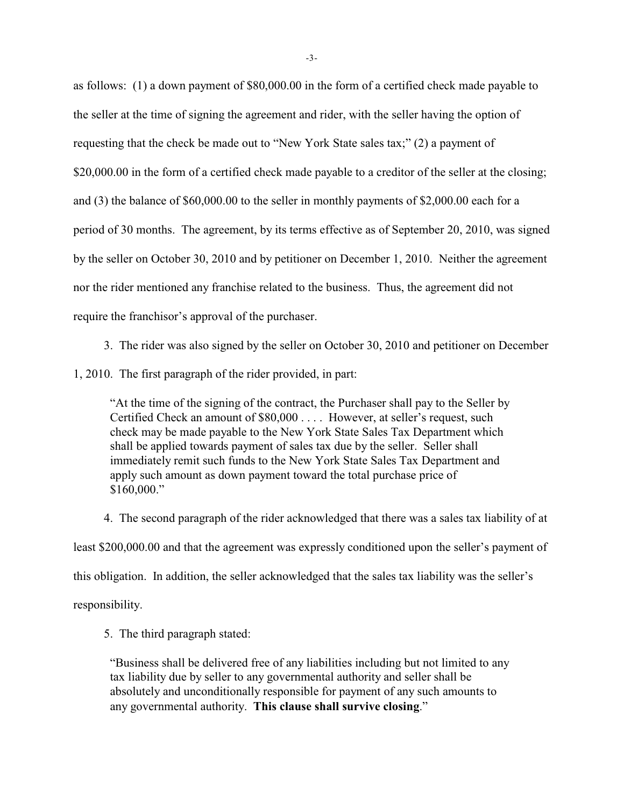as follows: (1) a down payment of \$80,000.00 in the form of a certified check made payable to the seller at the time of signing the agreement and rider, with the seller having the option of requesting that the check be made out to "New York State sales tax;" (2) a payment of \$20,000.00 in the form of a certified check made payable to a creditor of the seller at the closing; and (3) the balance of \$60,000.00 to the seller in monthly payments of \$2,000.00 each for a period of 30 months. The agreement, by its terms effective as of September 20, 2010, was signed by the seller on October 30, 2010 and by petitioner on December 1, 2010. Neither the agreement nor the rider mentioned any franchise related to the business. Thus, the agreement did not require the franchisor's approval of the purchaser.

3. The rider was also signed by the seller on October 30, 2010 and petitioner on December

1, 2010. The first paragraph of the rider provided, in part:

"At the time of the signing of the contract, the Purchaser shall pay to the Seller by Certified Check an amount of \$80,000 . . . . However, at seller's request, such check may be made payable to the New York State Sales Tax Department which shall be applied towards payment of sales tax due by the seller. Seller shall immediately remit such funds to the New York State Sales Tax Department and apply such amount as down payment toward the total purchase price of \$160,000."

4. The second paragraph of the rider acknowledged that there was a sales tax liability of at least \$200,000.00 and that the agreement was expressly conditioned upon the seller's payment of this obligation. In addition, the seller acknowledged that the sales tax liability was the seller's responsibility.

5. The third paragraph stated:

"Business shall be delivered free of any liabilities including but not limited to any tax liability due by seller to any governmental authority and seller shall be absolutely and unconditionally responsible for payment of any such amounts to any governmental authority. **This clause shall survive closing**."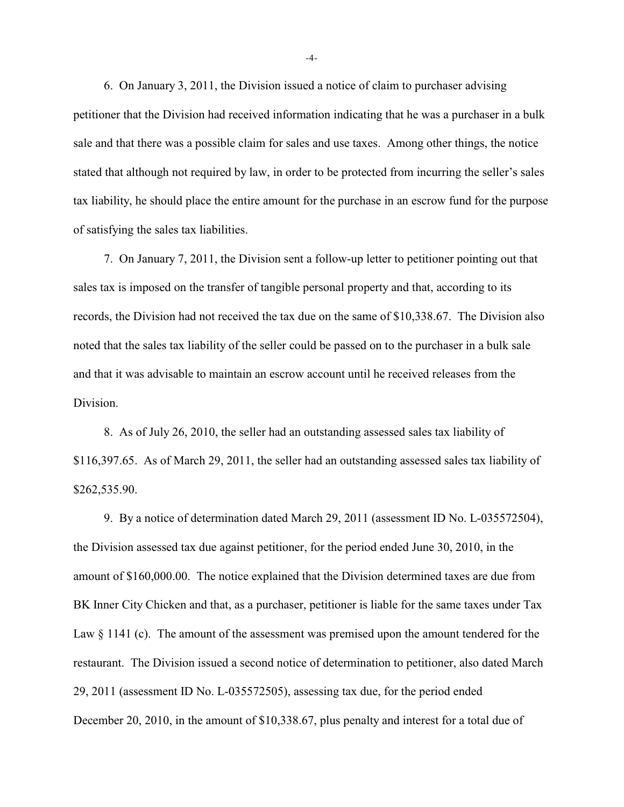6. On January 3, 2011, the Division issued a notice of claim to purchaser advising petitioner that the Division had received information indicating that he was a purchaser in a bulk sale and that there was a possible claim for sales and use taxes. Among other things, the notice stated that although not required by law, in order to be protected from incurring the seller's sales tax liability, he should place the entire amount for the purchase in an escrow fund for the purpose of satisfying the sales tax liabilities.

7. On January 7, 2011, the Division sent a follow-up letter to petitioner pointing out that sales tax is imposed on the transfer of tangible personal property and that, according to its records, the Division had not received the tax due on the same of \$10,338.67. The Division also noted that the sales tax liability of the seller could be passed on to the purchaser in a bulk sale and that it was advisable to maintain an escrow account until he received releases from the Division.

8. As of July 26, 2010, the seller had an outstanding assessed sales tax liability of \$116,397.65. As of March 29, 2011, the seller had an outstanding assessed sales tax liability of \$262,535.90.

9. By a notice of determination dated March 29, 2011 (assessment ID No. L-035572504), the Division assessed tax due against petitioner, for the period ended June 30, 2010, in the amount of \$160,000.00. The notice explained that the Division determined taxes are due from BK Inner City Chicken and that, as a purchaser, petitioner is liable for the same taxes under Tax Law  $\S 1141$  (c). The amount of the assessment was premised upon the amount tendered for the restaurant. The Division issued a second notice of determination to petitioner, also dated March 29, 2011 (assessment ID No. L-035572505), assessing tax due, for the period ended December 20, 2010, in the amount of \$10,338.67, plus penalty and interest for a total due of

-4-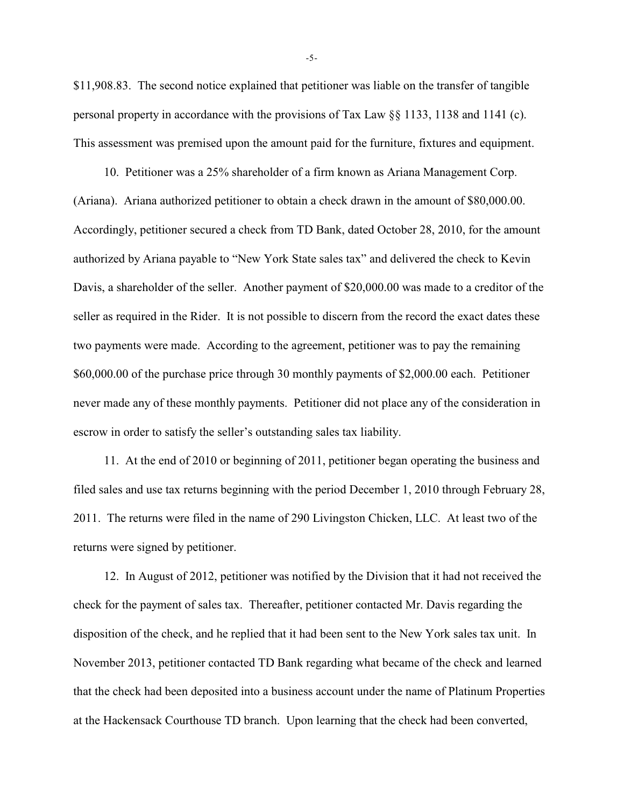\$11,908.83. The second notice explained that petitioner was liable on the transfer of tangible personal property in accordance with the provisions of Tax Law  $\S$  1133, 1138 and 1141 (c). This assessment was premised upon the amount paid for the furniture, fixtures and equipment.

10. Petitioner was a 25% shareholder of a firm known as Ariana Management Corp. (Ariana). Ariana authorized petitioner to obtain a check drawn in the amount of \$80,000.00. Accordingly, petitioner secured a check from TD Bank, dated October 28, 2010, for the amount authorized by Ariana payable to "New York State sales tax" and delivered the check to Kevin Davis, a shareholder of the seller. Another payment of \$20,000.00 was made to a creditor of the seller as required in the Rider. It is not possible to discern from the record the exact dates these two payments were made. According to the agreement, petitioner was to pay the remaining \$60,000.00 of the purchase price through 30 monthly payments of \$2,000.00 each. Petitioner never made any of these monthly payments. Petitioner did not place any of the consideration in escrow in order to satisfy the seller's outstanding sales tax liability.

11. At the end of 2010 or beginning of 2011, petitioner began operating the business and filed sales and use tax returns beginning with the period December 1, 2010 through February 28, 2011. The returns were filed in the name of 290 Livingston Chicken, LLC. At least two of the returns were signed by petitioner.

12. In August of 2012, petitioner was notified by the Division that it had not received the check for the payment of sales tax. Thereafter, petitioner contacted Mr. Davis regarding the disposition of the check, and he replied that it had been sent to the New York sales tax unit. In November 2013, petitioner contacted TD Bank regarding what became of the check and learned that the check had been deposited into a business account under the name of Platinum Properties at the Hackensack Courthouse TD branch. Upon learning that the check had been converted,

-5-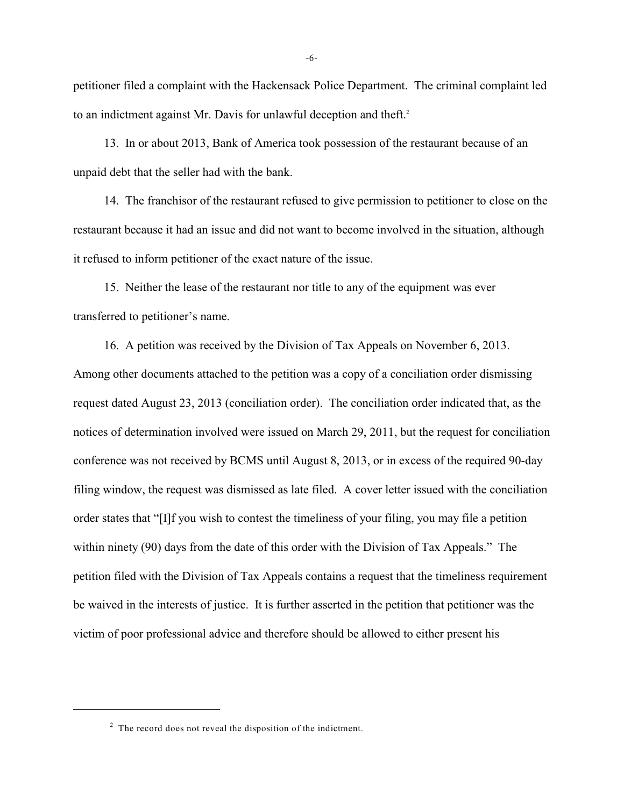petitioner filed a complaint with the Hackensack Police Department. The criminal complaint led to an indictment against Mr. Davis for unlawful deception and theft. 2

13. In or about 2013, Bank of America took possession of the restaurant because of an unpaid debt that the seller had with the bank.

14. The franchisor of the restaurant refused to give permission to petitioner to close on the restaurant because it had an issue and did not want to become involved in the situation, although it refused to inform petitioner of the exact nature of the issue.

15. Neither the lease of the restaurant nor title to any of the equipment was ever transferred to petitioner's name.

16. A petition was received by the Division of Tax Appeals on November 6, 2013. Among other documents attached to the petition was a copy of a conciliation order dismissing request dated August 23, 2013 (conciliation order). The conciliation order indicated that, as the notices of determination involved were issued on March 29, 2011, but the request for conciliation conference was not received by BCMS until August 8, 2013, or in excess of the required 90-day filing window, the request was dismissed as late filed. A cover letter issued with the conciliation order states that "[I]f you wish to contest the timeliness of your filing, you may file a petition within ninety (90) days from the date of this order with the Division of Tax Appeals." The petition filed with the Division of Tax Appeals contains a request that the timeliness requirement be waived in the interests of justice. It is further asserted in the petition that petitioner was the victim of poor professional advice and therefore should be allowed to either present his

 $2\degree$  The record does not reveal the disposition of the indictment.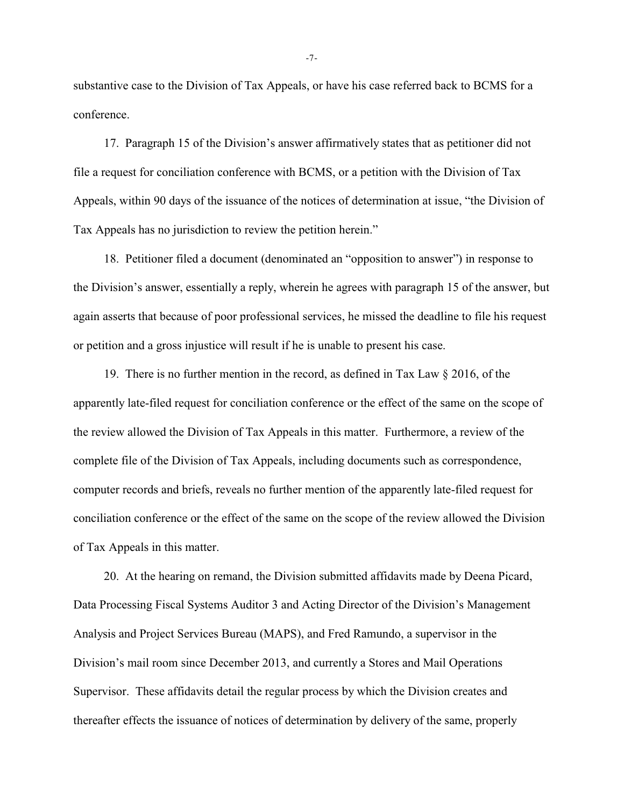substantive case to the Division of Tax Appeals, or have his case referred back to BCMS for a conference.

17. Paragraph 15 of the Division's answer affirmatively states that as petitioner did not file a request for conciliation conference with BCMS, or a petition with the Division of Tax Appeals, within 90 days of the issuance of the notices of determination at issue, "the Division of Tax Appeals has no jurisdiction to review the petition herein."

18. Petitioner filed a document (denominated an "opposition to answer") in response to the Division's answer, essentially a reply, wherein he agrees with paragraph 15 of the answer, but again asserts that because of poor professional services, he missed the deadline to file his request or petition and a gross injustice will result if he is unable to present his case.

19. There is no further mention in the record, as defined in Tax Law § 2016, of the apparently late-filed request for conciliation conference or the effect of the same on the scope of the review allowed the Division of Tax Appeals in this matter. Furthermore, a review of the complete file of the Division of Tax Appeals, including documents such as correspondence, computer records and briefs, reveals no further mention of the apparently late-filed request for conciliation conference or the effect of the same on the scope of the review allowed the Division of Tax Appeals in this matter.

20. At the hearing on remand, the Division submitted affidavits made by Deena Picard, Data Processing Fiscal Systems Auditor 3 and Acting Director of the Division's Management Analysis and Project Services Bureau (MAPS), and Fred Ramundo, a supervisor in the Division's mail room since December 2013, and currently a Stores and Mail Operations Supervisor. These affidavits detail the regular process by which the Division creates and thereafter effects the issuance of notices of determination by delivery of the same, properly

-7-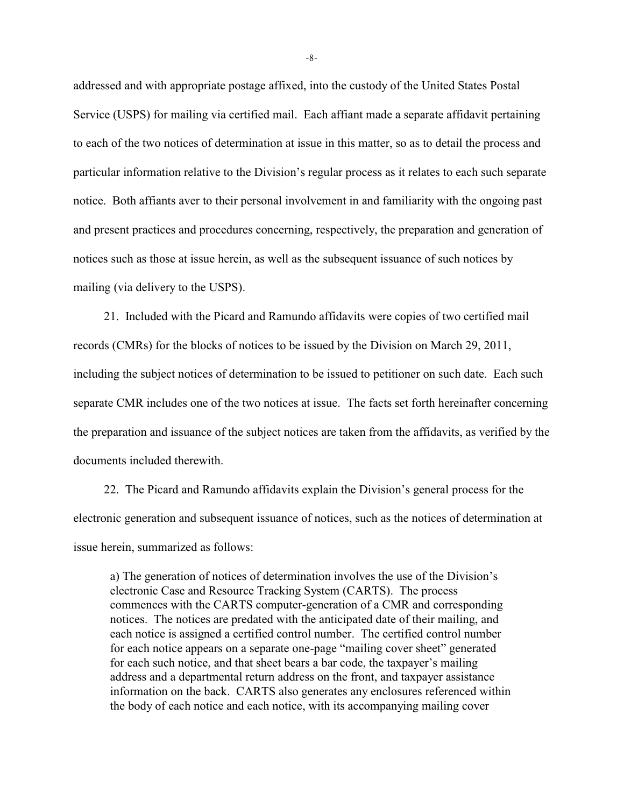addressed and with appropriate postage affixed, into the custody of the United States Postal Service (USPS) for mailing via certified mail. Each affiant made a separate affidavit pertaining to each of the two notices of determination at issue in this matter, so as to detail the process and particular information relative to the Division's regular process as it relates to each such separate notice. Both affiants aver to their personal involvement in and familiarity with the ongoing past and present practices and procedures concerning, respectively, the preparation and generation of notices such as those at issue herein, as well as the subsequent issuance of such notices by mailing (via delivery to the USPS).

21. Included with the Picard and Ramundo affidavits were copies of two certified mail records (CMRs) for the blocks of notices to be issued by the Division on March 29, 2011, including the subject notices of determination to be issued to petitioner on such date. Each such separate CMR includes one of the two notices at issue. The facts set forth hereinafter concerning the preparation and issuance of the subject notices are taken from the affidavits, as verified by the documents included therewith.

22. The Picard and Ramundo affidavits explain the Division's general process for the electronic generation and subsequent issuance of notices, such as the notices of determination at issue herein, summarized as follows:

a) The generation of notices of determination involves the use of the Division's electronic Case and Resource Tracking System (CARTS). The process commences with the CARTS computer-generation of a CMR and corresponding notices. The notices are predated with the anticipated date of their mailing, and each notice is assigned a certified control number. The certified control number for each notice appears on a separate one-page "mailing cover sheet" generated for each such notice, and that sheet bears a bar code, the taxpayer's mailing address and a departmental return address on the front, and taxpayer assistance information on the back. CARTS also generates any enclosures referenced within the body of each notice and each notice, with its accompanying mailing cover

-8-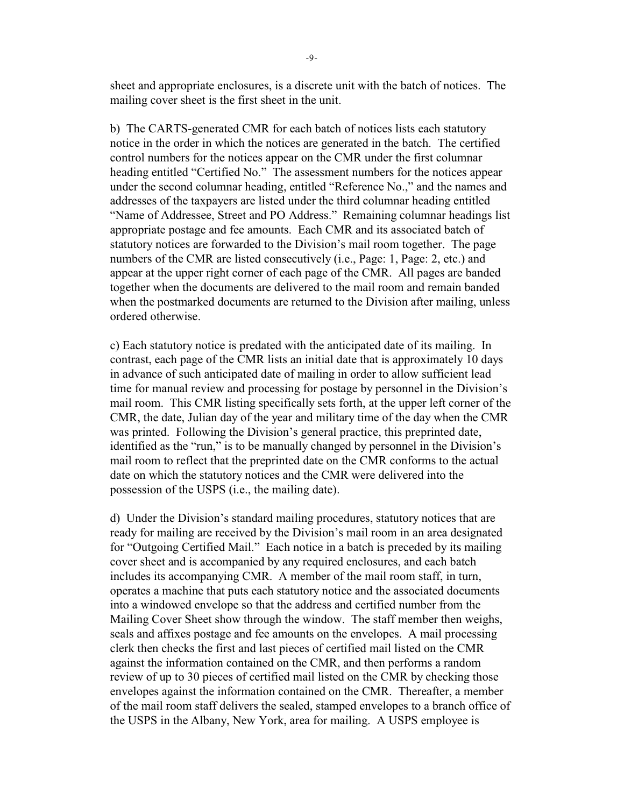sheet and appropriate enclosures, is a discrete unit with the batch of notices. The mailing cover sheet is the first sheet in the unit.

b) The CARTS-generated CMR for each batch of notices lists each statutory notice in the order in which the notices are generated in the batch. The certified control numbers for the notices appear on the CMR under the first columnar heading entitled "Certified No." The assessment numbers for the notices appear under the second columnar heading, entitled "Reference No.," and the names and addresses of the taxpayers are listed under the third columnar heading entitled "Name of Addressee, Street and PO Address." Remaining columnar headings list appropriate postage and fee amounts. Each CMR and its associated batch of statutory notices are forwarded to the Division's mail room together. The page numbers of the CMR are listed consecutively (i.e., Page: 1, Page: 2, etc.) and appear at the upper right corner of each page of the CMR. All pages are banded together when the documents are delivered to the mail room and remain banded when the postmarked documents are returned to the Division after mailing, unless ordered otherwise.

c) Each statutory notice is predated with the anticipated date of its mailing. In contrast, each page of the CMR lists an initial date that is approximately 10 days in advance of such anticipated date of mailing in order to allow sufficient lead time for manual review and processing for postage by personnel in the Division's mail room. This CMR listing specifically sets forth, at the upper left corner of the CMR, the date, Julian day of the year and military time of the day when the CMR was printed. Following the Division's general practice, this preprinted date, identified as the "run," is to be manually changed by personnel in the Division's mail room to reflect that the preprinted date on the CMR conforms to the actual date on which the statutory notices and the CMR were delivered into the possession of the USPS (i.e., the mailing date).

d) Under the Division's standard mailing procedures, statutory notices that are ready for mailing are received by the Division's mail room in an area designated for "Outgoing Certified Mail." Each notice in a batch is preceded by its mailing cover sheet and is accompanied by any required enclosures, and each batch includes its accompanying CMR. A member of the mail room staff, in turn, operates a machine that puts each statutory notice and the associated documents into a windowed envelope so that the address and certified number from the Mailing Cover Sheet show through the window. The staff member then weighs, seals and affixes postage and fee amounts on the envelopes. A mail processing clerk then checks the first and last pieces of certified mail listed on the CMR against the information contained on the CMR, and then performs a random review of up to 30 pieces of certified mail listed on the CMR by checking those envelopes against the information contained on the CMR. Thereafter, a member of the mail room staff delivers the sealed, stamped envelopes to a branch office of the USPS in the Albany, New York, area for mailing. A USPS employee is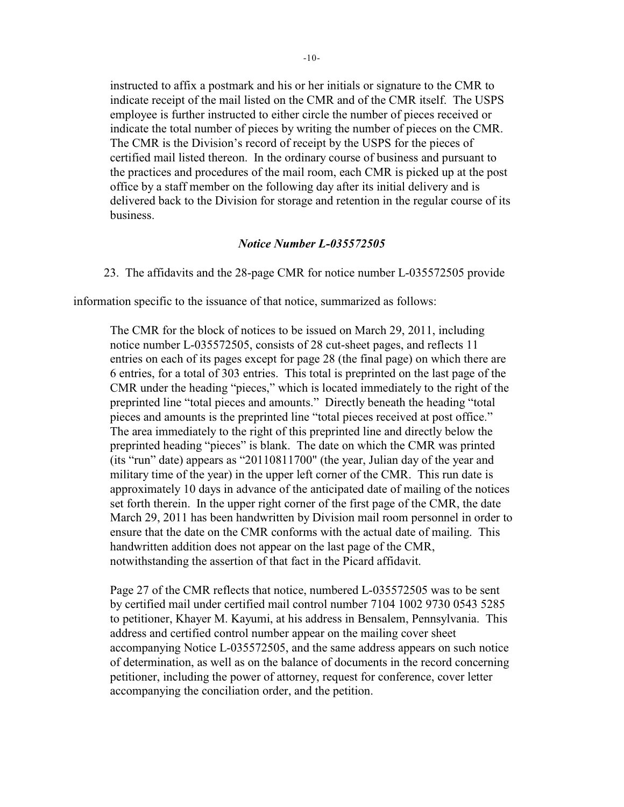instructed to affix a postmark and his or her initials or signature to the CMR to indicate receipt of the mail listed on the CMR and of the CMR itself. The USPS employee is further instructed to either circle the number of pieces received or indicate the total number of pieces by writing the number of pieces on the CMR. The CMR is the Division's record of receipt by the USPS for the pieces of certified mail listed thereon. In the ordinary course of business and pursuant to the practices and procedures of the mail room, each CMR is picked up at the post office by a staff member on the following day after its initial delivery and is delivered back to the Division for storage and retention in the regular course of its business.

### *Notice Number L-035572505*

23. The affidavits and the 28-page CMR for notice number L-035572505 provide

information specific to the issuance of that notice, summarized as follows:

The CMR for the block of notices to be issued on March 29, 2011, including notice number L-035572505, consists of 28 cut-sheet pages, and reflects 11 entries on each of its pages except for page 28 (the final page) on which there are 6 entries, for a total of 303 entries. This total is preprinted on the last page of the CMR under the heading "pieces," which is located immediately to the right of the preprinted line "total pieces and amounts." Directly beneath the heading "total pieces and amounts is the preprinted line "total pieces received at post office." The area immediately to the right of this preprinted line and directly below the preprinted heading "pieces" is blank. The date on which the CMR was printed (its "run" date) appears as "20110811700" (the year, Julian day of the year and military time of the year) in the upper left corner of the CMR. This run date is approximately 10 days in advance of the anticipated date of mailing of the notices set forth therein. In the upper right corner of the first page of the CMR, the date March 29, 2011 has been handwritten by Division mail room personnel in order to ensure that the date on the CMR conforms with the actual date of mailing. This handwritten addition does not appear on the last page of the CMR, notwithstanding the assertion of that fact in the Picard affidavit.

Page 27 of the CMR reflects that notice, numbered L-035572505 was to be sent by certified mail under certified mail control number 7104 1002 9730 0543 5285 to petitioner, Khayer M. Kayumi, at his address in Bensalem, Pennsylvania. This address and certified control number appear on the mailing cover sheet accompanying Notice L-035572505, and the same address appears on such notice of determination, as well as on the balance of documents in the record concerning petitioner, including the power of attorney, request for conference, cover letter accompanying the conciliation order, and the petition.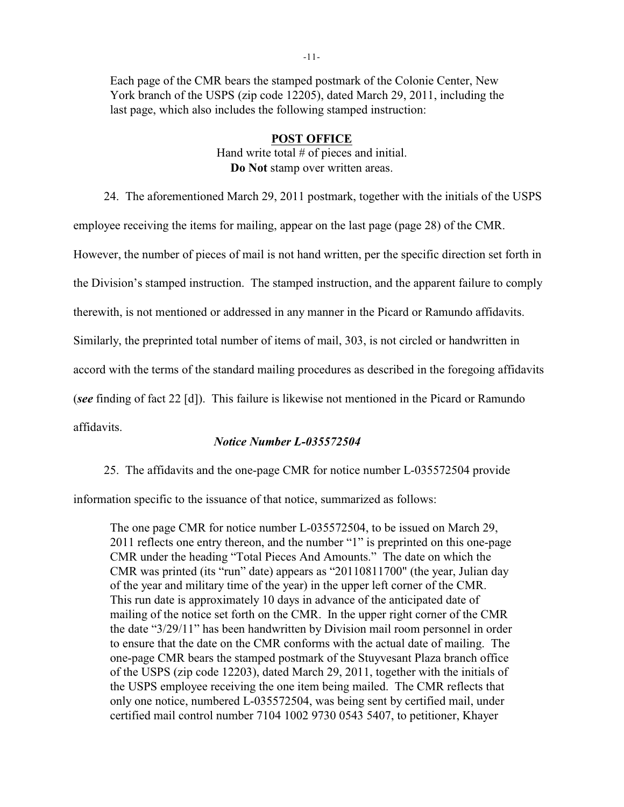Each page of the CMR bears the stamped postmark of the Colonie Center, New York branch of the USPS (zip code 12205), dated March 29, 2011, including the last page, which also includes the following stamped instruction:

# **POST OFFICE** Hand write total # of pieces and initial.

**Do Not** stamp over written areas.

24. The aforementioned March 29, 2011 postmark, together with the initials of the USPS employee receiving the items for mailing, appear on the last page (page 28) of the CMR. However, the number of pieces of mail is not hand written, per the specific direction set forth in the Division's stamped instruction. The stamped instruction, and the apparent failure to comply therewith, is not mentioned or addressed in any manner in the Picard or Ramundo affidavits. Similarly, the preprinted total number of items of mail, 303, is not circled or handwritten in accord with the terms of the standard mailing procedures as described in the foregoing affidavits (*see* finding of fact 22 [d]). This failure is likewise not mentioned in the Picard or Ramundo affidavits.

# *Notice Number L-035572504*

25. The affidavits and the one-page CMR for notice number L-035572504 provide

information specific to the issuance of that notice, summarized as follows:

The one page CMR for notice number L-035572504, to be issued on March 29, 2011 reflects one entry thereon, and the number "1" is preprinted on this one-page CMR under the heading "Total Pieces And Amounts." The date on which the CMR was printed (its "run" date) appears as "20110811700" (the year, Julian day of the year and military time of the year) in the upper left corner of the CMR. This run date is approximately 10 days in advance of the anticipated date of mailing of the notice set forth on the CMR. In the upper right corner of the CMR the date "3/29/11" has been handwritten by Division mail room personnel in order to ensure that the date on the CMR conforms with the actual date of mailing. The one-page CMR bears the stamped postmark of the Stuyvesant Plaza branch office of the USPS (zip code 12203), dated March 29, 2011, together with the initials of the USPS employee receiving the one item being mailed. The CMR reflects that only one notice, numbered L-035572504, was being sent by certified mail, under certified mail control number 7104 1002 9730 0543 5407, to petitioner, Khayer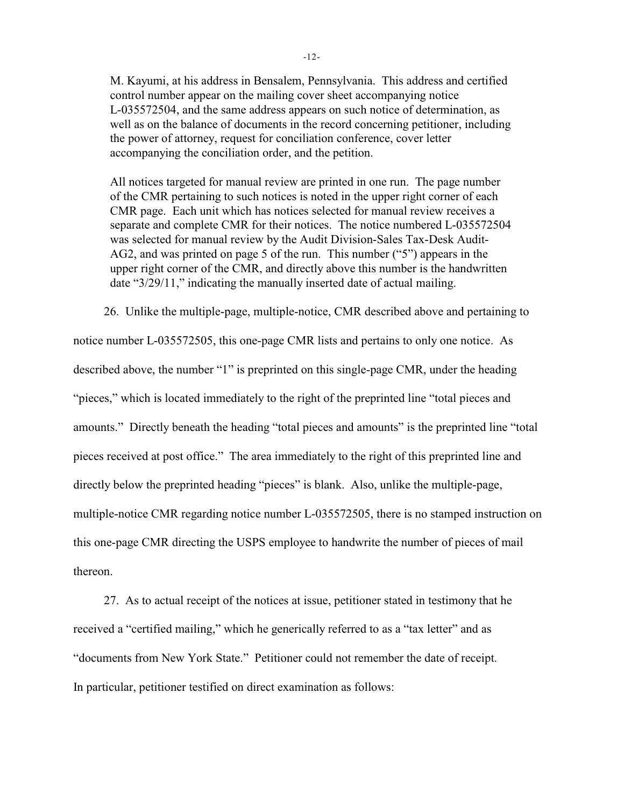M. Kayumi, at his address in Bensalem, Pennsylvania. This address and certified control number appear on the mailing cover sheet accompanying notice L-035572504, and the same address appears on such notice of determination, as well as on the balance of documents in the record concerning petitioner, including the power of attorney, request for conciliation conference, cover letter accompanying the conciliation order, and the petition.

All notices targeted for manual review are printed in one run. The page number of the CMR pertaining to such notices is noted in the upper right corner of each CMR page. Each unit which has notices selected for manual review receives a separate and complete CMR for their notices. The notice numbered L-035572504 was selected for manual review by the Audit Division-Sales Tax-Desk Audit-AG2, and was printed on page 5 of the run. This number ("5") appears in the upper right corner of the CMR, and directly above this number is the handwritten date "3/29/11," indicating the manually inserted date of actual mailing.

26. Unlike the multiple-page, multiple-notice, CMR described above and pertaining to notice number L-035572505, this one-page CMR lists and pertains to only one notice. As described above, the number "1" is preprinted on this single-page CMR, under the heading "pieces," which is located immediately to the right of the preprinted line "total pieces and amounts." Directly beneath the heading "total pieces and amounts" is the preprinted line "total pieces received at post office." The area immediately to the right of this preprinted line and directly below the preprinted heading "pieces" is blank. Also, unlike the multiple-page, multiple-notice CMR regarding notice number L-035572505, there is no stamped instruction on this one-page CMR directing the USPS employee to handwrite the number of pieces of mail thereon.

27. As to actual receipt of the notices at issue, petitioner stated in testimony that he received a "certified mailing," which he generically referred to as a "tax letter" and as "documents from New York State." Petitioner could not remember the date of receipt. In particular, petitioner testified on direct examination as follows: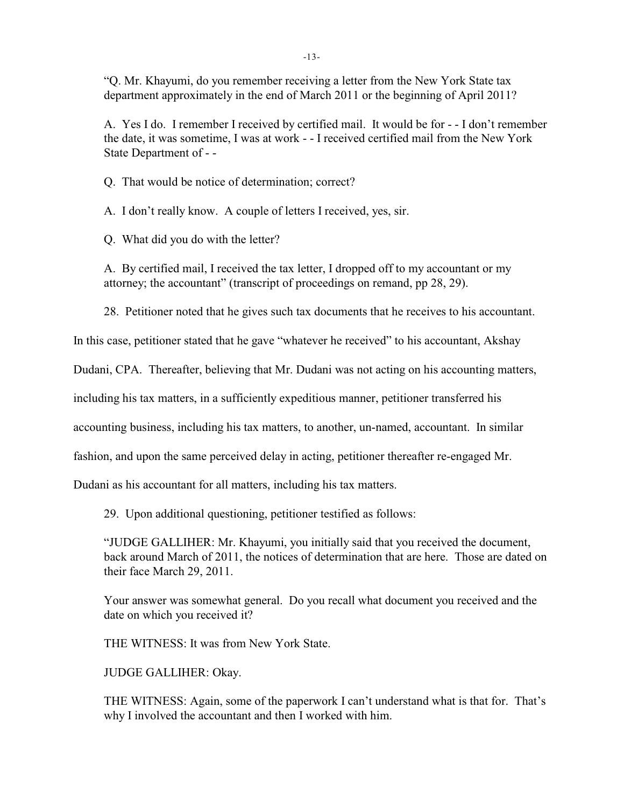"Q. Mr. Khayumi, do you remember receiving a letter from the New York State tax department approximately in the end of March 2011 or the beginning of April 2011?

A. Yes I do. I remember I received by certified mail. It would be for - - I don't remember the date, it was sometime, I was at work - - I received certified mail from the New York State Department of - -

Q. That would be notice of determination; correct?

A. I don't really know. A couple of letters I received, yes, sir.

Q. What did you do with the letter?

A. By certified mail, I received the tax letter, I dropped off to my accountant or my attorney; the accountant" (transcript of proceedings on remand, pp 28, 29).

28. Petitioner noted that he gives such tax documents that he receives to his accountant.

In this case, petitioner stated that he gave "whatever he received" to his accountant, Akshay

Dudani, CPA. Thereafter, believing that Mr. Dudani was not acting on his accounting matters,

including his tax matters, in a sufficiently expeditious manner, petitioner transferred his

accounting business, including his tax matters, to another, un-named, accountant. In similar

fashion, and upon the same perceived delay in acting, petitioner thereafter re-engaged Mr.

Dudani as his accountant for all matters, including his tax matters.

29. Upon additional questioning, petitioner testified as follows:

"JUDGE GALLIHER: Mr. Khayumi, you initially said that you received the document, back around March of 2011, the notices of determination that are here. Those are dated on their face March 29, 2011.

Your answer was somewhat general. Do you recall what document you received and the date on which you received it?

THE WITNESS: It was from New York State.

JUDGE GALLIHER: Okay.

THE WITNESS: Again, some of the paperwork I can't understand what is that for. That's why I involved the accountant and then I worked with him.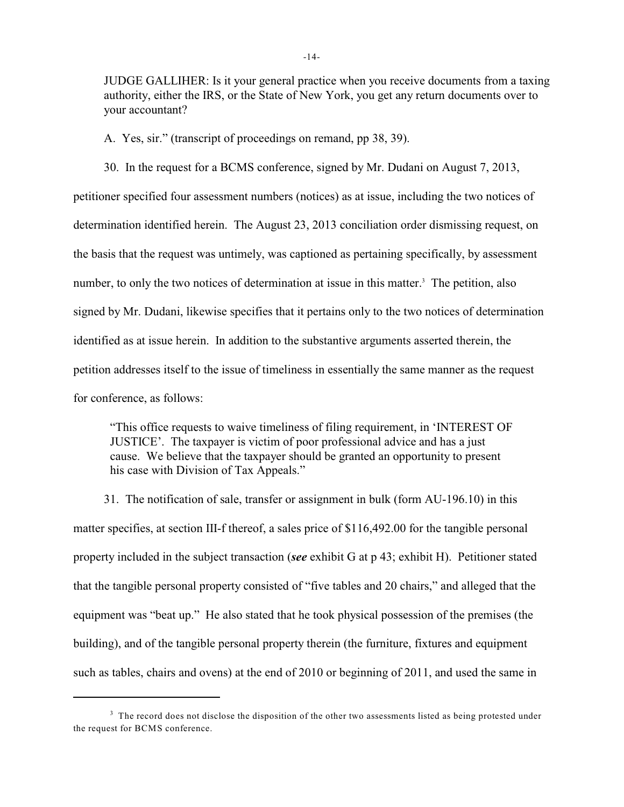JUDGE GALLIHER: Is it your general practice when you receive documents from a taxing authority, either the IRS, or the State of New York, you get any return documents over to your accountant?

A. Yes, sir." (transcript of proceedings on remand, pp 38, 39).

30. In the request for a BCMS conference, signed by Mr. Dudani on August 7, 2013, petitioner specified four assessment numbers (notices) as at issue, including the two notices of determination identified herein. The August 23, 2013 conciliation order dismissing request, on the basis that the request was untimely, was captioned as pertaining specifically, by assessment number, to only the two notices of determination at issue in this matter.<sup>3</sup> The petition, also signed by Mr. Dudani, likewise specifies that it pertains only to the two notices of determination identified as at issue herein. In addition to the substantive arguments asserted therein, the petition addresses itself to the issue of timeliness in essentially the same manner as the request for conference, as follows:

"This office requests to waive timeliness of filing requirement, in 'INTEREST OF JUSTICE'. The taxpayer is victim of poor professional advice and has a just cause. We believe that the taxpayer should be granted an opportunity to present his case with Division of Tax Appeals."

31. The notification of sale, transfer or assignment in bulk (form AU-196.10) in this matter specifies, at section III-f thereof, a sales price of \$116,492.00 for the tangible personal property included in the subject transaction (*see* exhibit G at p 43; exhibit H). Petitioner stated that the tangible personal property consisted of "five tables and 20 chairs," and alleged that the equipment was "beat up." He also stated that he took physical possession of the premises (the building), and of the tangible personal property therein (the furniture, fixtures and equipment such as tables, chairs and ovens) at the end of 2010 or beginning of 2011, and used the same in

<sup>&</sup>lt;sup>3</sup> The record does not disclose the disposition of the other two assessments listed as being protested under the request for BCMS conference.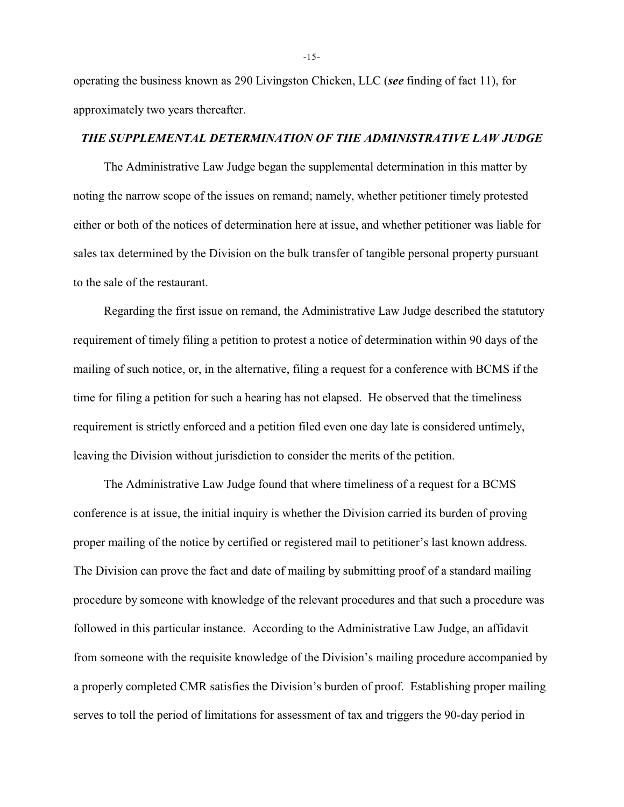operating the business known as 290 Livingston Chicken, LLC (*see* finding of fact 11), for approximately two years thereafter.

#### *THE SUPPLEMENTAL DETERMINATION OF THE ADMINISTRATIVE LAW JUDGE*

The Administrative Law Judge began the supplemental determination in this matter by noting the narrow scope of the issues on remand; namely, whether petitioner timely protested either or both of the notices of determination here at issue, and whether petitioner was liable for sales tax determined by the Division on the bulk transfer of tangible personal property pursuant to the sale of the restaurant.

Regarding the first issue on remand, the Administrative Law Judge described the statutory requirement of timely filing a petition to protest a notice of determination within 90 days of the mailing of such notice, or, in the alternative, filing a request for a conference with BCMS if the time for filing a petition for such a hearing has not elapsed. He observed that the timeliness requirement is strictly enforced and a petition filed even one day late is considered untimely, leaving the Division without jurisdiction to consider the merits of the petition.

The Administrative Law Judge found that where timeliness of a request for a BCMS conference is at issue, the initial inquiry is whether the Division carried its burden of proving proper mailing of the notice by certified or registered mail to petitioner's last known address. The Division can prove the fact and date of mailing by submitting proof of a standard mailing procedure by someone with knowledge of the relevant procedures and that such a procedure was followed in this particular instance. According to the Administrative Law Judge, an affidavit from someone with the requisite knowledge of the Division's mailing procedure accompanied by a properly completed CMR satisfies the Division's burden of proof. Establishing proper mailing serves to toll the period of limitations for assessment of tax and triggers the 90-day period in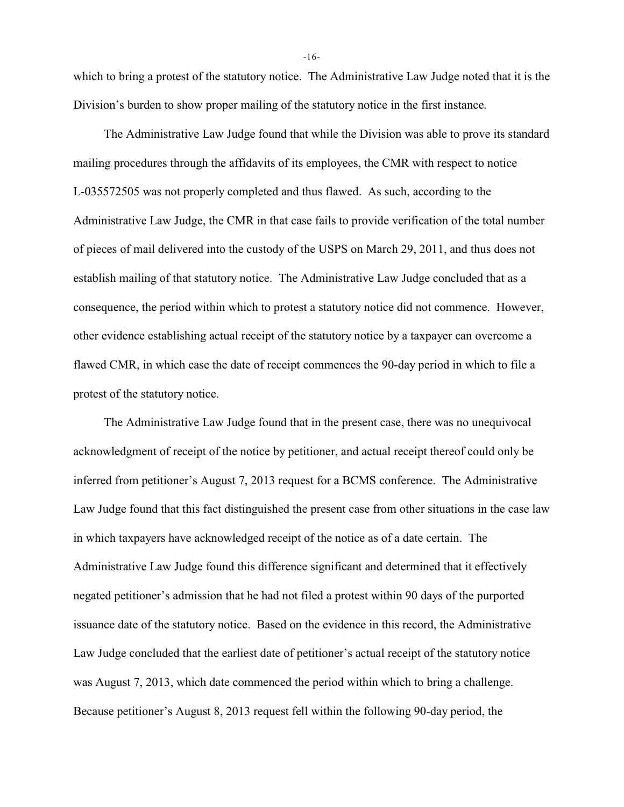which to bring a protest of the statutory notice. The Administrative Law Judge noted that it is the Division's burden to show proper mailing of the statutory notice in the first instance.

The Administrative Law Judge found that while the Division was able to prove its standard mailing procedures through the affidavits of its employees, the CMR with respect to notice L-035572505 was not properly completed and thus flawed. As such, according to the Administrative Law Judge, the CMR in that case fails to provide verification of the total number of pieces of mail delivered into the custody of the USPS on March 29, 2011, and thus does not establish mailing of that statutory notice. The Administrative Law Judge concluded that as a consequence, the period within which to protest a statutory notice did not commence. However, other evidence establishing actual receipt of the statutory notice by a taxpayer can overcome a flawed CMR, in which case the date of receipt commences the 90-day period in which to file a protest of the statutory notice.

The Administrative Law Judge found that in the present case, there was no unequivocal acknowledgment of receipt of the notice by petitioner, and actual receipt thereof could only be inferred from petitioner's August 7, 2013 request for a BCMS conference. The Administrative Law Judge found that this fact distinguished the present case from other situations in the case law in which taxpayers have acknowledged receipt of the notice as of a date certain. The Administrative Law Judge found this difference significant and determined that it effectively negated petitioner's admission that he had not filed a protest within 90 days of the purported issuance date of the statutory notice. Based on the evidence in this record, the Administrative Law Judge concluded that the earliest date of petitioner's actual receipt of the statutory notice was August 7, 2013, which date commenced the period within which to bring a challenge. Because petitioner's August 8, 2013 request fell within the following 90-day period, the

-16-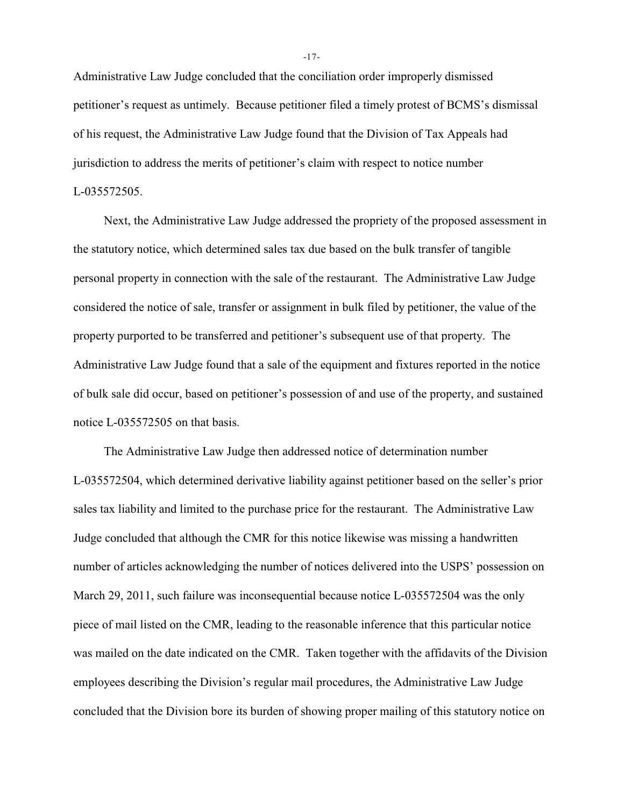Administrative Law Judge concluded that the conciliation order improperly dismissed petitioner's request as untimely. Because petitioner filed a timely protest of BCMS's dismissal of his request, the Administrative Law Judge found that the Division of Tax Appeals had jurisdiction to address the merits of petitioner's claim with respect to notice number L-035572505.

Next, the Administrative Law Judge addressed the propriety of the proposed assessment in the statutory notice, which determined sales tax due based on the bulk transfer of tangible personal property in connection with the sale of the restaurant. The Administrative Law Judge considered the notice of sale, transfer or assignment in bulk filed by petitioner, the value of the property purported to be transferred and petitioner's subsequent use of that property. The Administrative Law Judge found that a sale of the equipment and fixtures reported in the notice of bulk sale did occur, based on petitioner's possession of and use of the property, and sustained notice L-035572505 on that basis.

The Administrative Law Judge then addressed notice of determination number L-035572504, which determined derivative liability against petitioner based on the seller's prior sales tax liability and limited to the purchase price for the restaurant. The Administrative Law Judge concluded that although the CMR for this notice likewise was missing a handwritten number of articles acknowledging the number of notices delivered into the USPS' possession on March 29, 2011, such failure was inconsequential because notice L-035572504 was the only piece of mail listed on the CMR, leading to the reasonable inference that this particular notice was mailed on the date indicated on the CMR. Taken together with the affidavits of the Division employees describing the Division's regular mail procedures, the Administrative Law Judge concluded that the Division bore its burden of showing proper mailing of this statutory notice on

-17-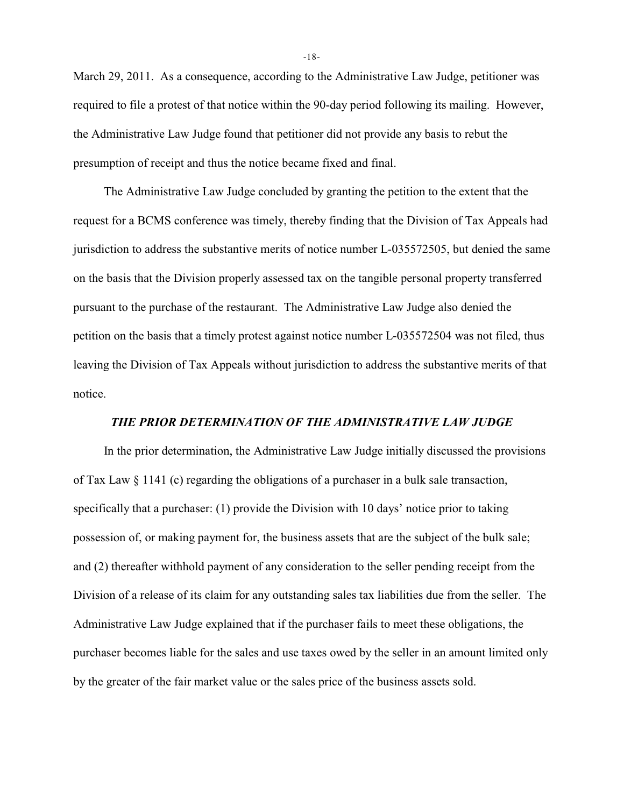March 29, 2011. As a consequence, according to the Administrative Law Judge, petitioner was required to file a protest of that notice within the 90-day period following its mailing. However, the Administrative Law Judge found that petitioner did not provide any basis to rebut the presumption of receipt and thus the notice became fixed and final.

The Administrative Law Judge concluded by granting the petition to the extent that the request for a BCMS conference was timely, thereby finding that the Division of Tax Appeals had jurisdiction to address the substantive merits of notice number L-035572505, but denied the same on the basis that the Division properly assessed tax on the tangible personal property transferred pursuant to the purchase of the restaurant. The Administrative Law Judge also denied the petition on the basis that a timely protest against notice number L-035572504 was not filed, thus leaving the Division of Tax Appeals without jurisdiction to address the substantive merits of that notice.

# *THE PRIOR DETERMINATION OF THE ADMINISTRATIVE LAW JUDGE*

In the prior determination, the Administrative Law Judge initially discussed the provisions of Tax Law § 1141 (c) regarding the obligations of a purchaser in a bulk sale transaction, specifically that a purchaser: (1) provide the Division with 10 days' notice prior to taking possession of, or making payment for, the business assets that are the subject of the bulk sale; and (2) thereafter withhold payment of any consideration to the seller pending receipt from the Division of a release of its claim for any outstanding sales tax liabilities due from the seller. The Administrative Law Judge explained that if the purchaser fails to meet these obligations, the purchaser becomes liable for the sales and use taxes owed by the seller in an amount limited only by the greater of the fair market value or the sales price of the business assets sold.

-18-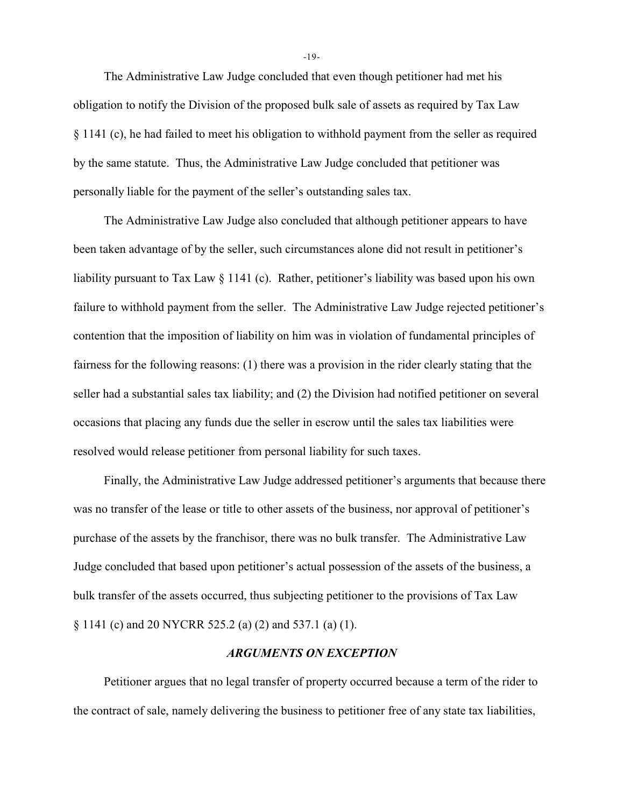The Administrative Law Judge concluded that even though petitioner had met his obligation to notify the Division of the proposed bulk sale of assets as required by Tax Law § 1141 (c), he had failed to meet his obligation to withhold payment from the seller as required by the same statute. Thus, the Administrative Law Judge concluded that petitioner was personally liable for the payment of the seller's outstanding sales tax.

The Administrative Law Judge also concluded that although petitioner appears to have been taken advantage of by the seller, such circumstances alone did not result in petitioner's liability pursuant to Tax Law § 1141 (c). Rather, petitioner's liability was based upon his own failure to withhold payment from the seller. The Administrative Law Judge rejected petitioner's contention that the imposition of liability on him was in violation of fundamental principles of fairness for the following reasons: (1) there was a provision in the rider clearly stating that the seller had a substantial sales tax liability; and (2) the Division had notified petitioner on several occasions that placing any funds due the seller in escrow until the sales tax liabilities were resolved would release petitioner from personal liability for such taxes.

Finally, the Administrative Law Judge addressed petitioner's arguments that because there was no transfer of the lease or title to other assets of the business, nor approval of petitioner's purchase of the assets by the franchisor, there was no bulk transfer. The Administrative Law Judge concluded that based upon petitioner's actual possession of the assets of the business, a bulk transfer of the assets occurred, thus subjecting petitioner to the provisions of Tax Law § 1141 (c) and 20 NYCRR 525.2 (a) (2) and 537.1 (a) (1).

### *ARGUMENTS ON EXCEPTION*

Petitioner argues that no legal transfer of property occurred because a term of the rider to the contract of sale, namely delivering the business to petitioner free of any state tax liabilities,

-19-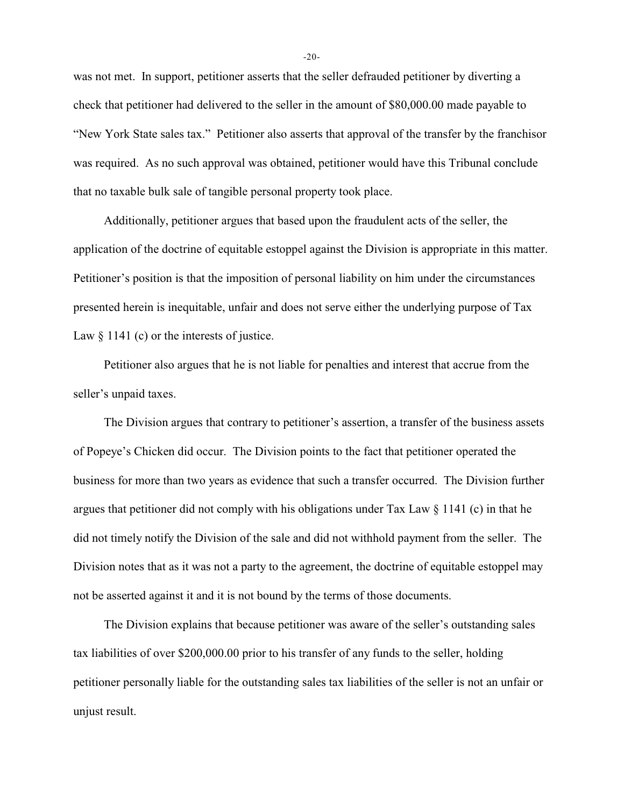was not met. In support, petitioner asserts that the seller defrauded petitioner by diverting a check that petitioner had delivered to the seller in the amount of \$80,000.00 made payable to "New York State sales tax." Petitioner also asserts that approval of the transfer by the franchisor was required. As no such approval was obtained, petitioner would have this Tribunal conclude that no taxable bulk sale of tangible personal property took place.

Additionally, petitioner argues that based upon the fraudulent acts of the seller, the application of the doctrine of equitable estoppel against the Division is appropriate in this matter. Petitioner's position is that the imposition of personal liability on him under the circumstances presented herein is inequitable, unfair and does not serve either the underlying purpose of Tax Law  $\S 1141$  (c) or the interests of justice.

Petitioner also argues that he is not liable for penalties and interest that accrue from the seller's unpaid taxes.

The Division argues that contrary to petitioner's assertion, a transfer of the business assets of Popeye's Chicken did occur. The Division points to the fact that petitioner operated the business for more than two years as evidence that such a transfer occurred. The Division further argues that petitioner did not comply with his obligations under Tax Law  $\S$  1141 (c) in that he did not timely notify the Division of the sale and did not withhold payment from the seller. The Division notes that as it was not a party to the agreement, the doctrine of equitable estoppel may not be asserted against it and it is not bound by the terms of those documents.

The Division explains that because petitioner was aware of the seller's outstanding sales tax liabilities of over \$200,000.00 prior to his transfer of any funds to the seller, holding petitioner personally liable for the outstanding sales tax liabilities of the seller is not an unfair or unjust result.

-20-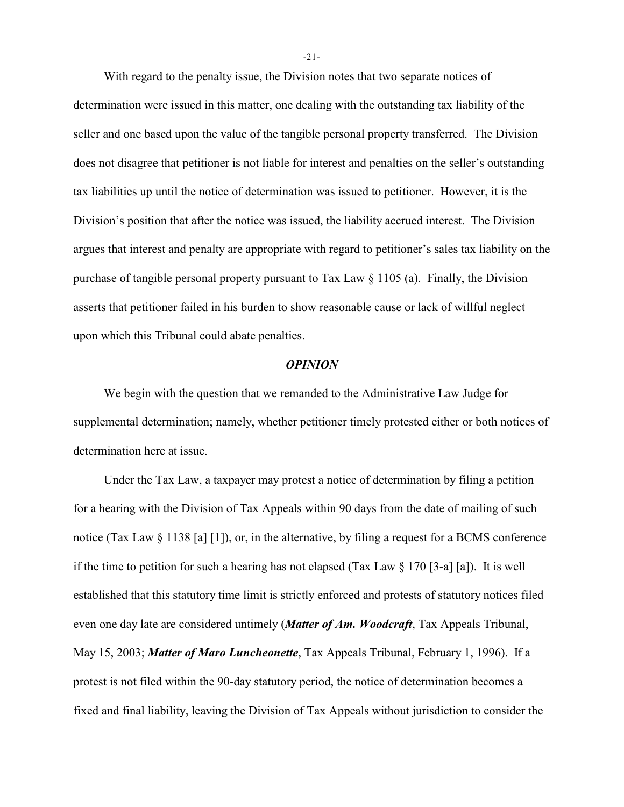With regard to the penalty issue, the Division notes that two separate notices of determination were issued in this matter, one dealing with the outstanding tax liability of the seller and one based upon the value of the tangible personal property transferred. The Division does not disagree that petitioner is not liable for interest and penalties on the seller's outstanding tax liabilities up until the notice of determination was issued to petitioner. However, it is the Division's position that after the notice was issued, the liability accrued interest. The Division argues that interest and penalty are appropriate with regard to petitioner's sales tax liability on the purchase of tangible personal property pursuant to Tax Law § 1105 (a). Finally, the Division asserts that petitioner failed in his burden to show reasonable cause or lack of willful neglect upon which this Tribunal could abate penalties.

#### *OPINION*

We begin with the question that we remanded to the Administrative Law Judge for supplemental determination; namely, whether petitioner timely protested either or both notices of determination here at issue.

Under the Tax Law, a taxpayer may protest a notice of determination by filing a petition for a hearing with the Division of Tax Appeals within 90 days from the date of mailing of such notice (Tax Law § 1138 [a] [1]), or, in the alternative, by filing a request for a BCMS conference if the time to petition for such a hearing has not elapsed (Tax Law § 170 [3-a] [a]). It is well established that this statutory time limit is strictly enforced and protests of statutory notices filed even one day late are considered untimely (*Matter of Am. Woodcraft*, Tax Appeals Tribunal, May 15, 2003; *Matter of Maro Luncheonette*, Tax Appeals Tribunal, February 1, 1996). If a protest is not filed within the 90-day statutory period, the notice of determination becomes a fixed and final liability, leaving the Division of Tax Appeals without jurisdiction to consider the

-21-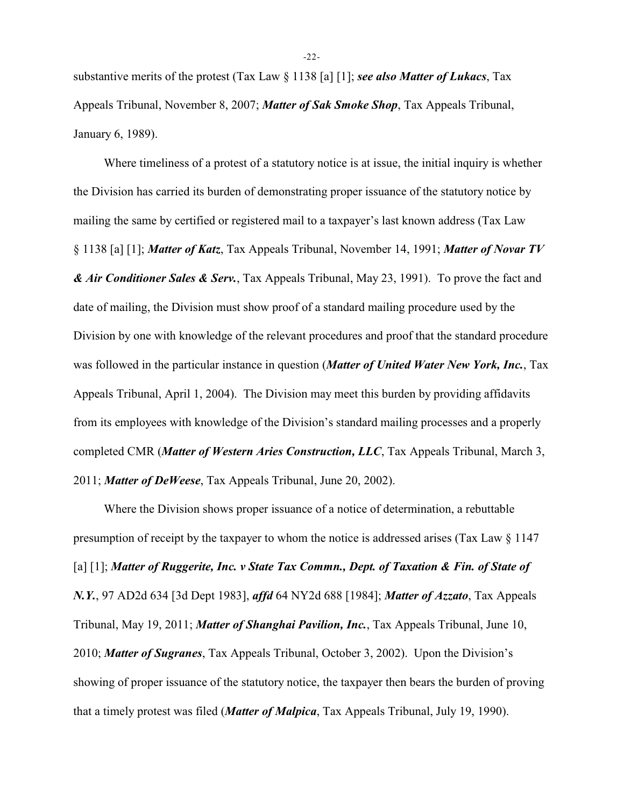substantive merits of the protest (Tax Law § 1138 [a] [1]; *see also Matter of Lukacs*, Tax Appeals Tribunal, November 8, 2007; *Matter of Sak Smoke Shop*, Tax Appeals Tribunal, January 6, 1989).

Where timeliness of a protest of a statutory notice is at issue, the initial inquiry is whether the Division has carried its burden of demonstrating proper issuance of the statutory notice by mailing the same by certified or registered mail to a taxpayer's last known address (Tax Law § 1138 [a] [1]; *Matter of Katz*, Tax Appeals Tribunal, November 14, 1991; *Matter of Novar TV & Air Conditioner Sales & Serv.*, Tax Appeals Tribunal, May 23, 1991). To prove the fact and date of mailing, the Division must show proof of a standard mailing procedure used by the Division by one with knowledge of the relevant procedures and proof that the standard procedure was followed in the particular instance in question (*Matter of United Water New York, Inc.*, Tax Appeals Tribunal, April 1, 2004). The Division may meet this burden by providing affidavits from its employees with knowledge of the Division's standard mailing processes and a properly completed CMR (*Matter of Western Aries Construction, LLC*, Tax Appeals Tribunal, March 3, 2011; *Matter of DeWeese*, Tax Appeals Tribunal, June 20, 2002).

Where the Division shows proper issuance of a notice of determination, a rebuttable presumption of receipt by the taxpayer to whom the notice is addressed arises (Tax Law § 1147 [a] [1]; *Matter of Ruggerite, Inc. v State Tax Commn., Dept. of Taxation & Fin. of State of N.Y.*, 97 AD2d 634 [3d Dept 1983], *affd* 64 NY2d 688 [1984]; *Matter of Azzato*, Tax Appeals Tribunal, May 19, 2011; *Matter of Shanghai Pavilion, Inc.*, Tax Appeals Tribunal, June 10, 2010; *Matter of Sugranes*, Tax Appeals Tribunal, October 3, 2002). Upon the Division's showing of proper issuance of the statutory notice, the taxpayer then bears the burden of proving that a timely protest was filed (*Matter of Malpica*, Tax Appeals Tribunal, July 19, 1990).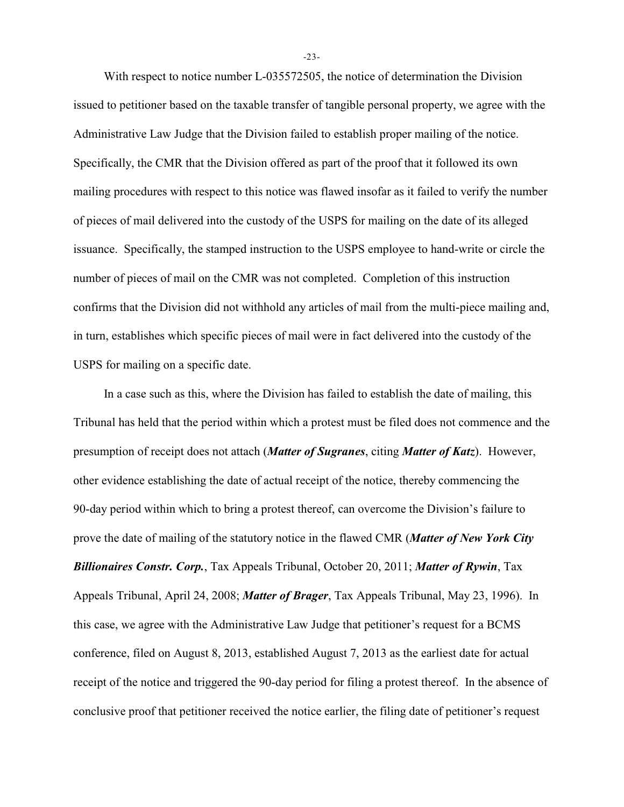With respect to notice number L-035572505, the notice of determination the Division issued to petitioner based on the taxable transfer of tangible personal property, we agree with the Administrative Law Judge that the Division failed to establish proper mailing of the notice. Specifically, the CMR that the Division offered as part of the proof that it followed its own mailing procedures with respect to this notice was flawed insofar as it failed to verify the number of pieces of mail delivered into the custody of the USPS for mailing on the date of its alleged issuance. Specifically, the stamped instruction to the USPS employee to hand-write or circle the number of pieces of mail on the CMR was not completed. Completion of this instruction confirms that the Division did not withhold any articles of mail from the multi-piece mailing and, in turn, establishes which specific pieces of mail were in fact delivered into the custody of the USPS for mailing on a specific date.

In a case such as this, where the Division has failed to establish the date of mailing, this Tribunal has held that the period within which a protest must be filed does not commence and the presumption of receipt does not attach (*Matter of Sugranes*, citing *Matter of Katz*). However, other evidence establishing the date of actual receipt of the notice, thereby commencing the 90-day period within which to bring a protest thereof, can overcome the Division's failure to prove the date of mailing of the statutory notice in the flawed CMR (*Matter of New York City Billionaires Constr. Corp.*, Tax Appeals Tribunal, October 20, 2011; *Matter of Rywin*, Tax Appeals Tribunal, April 24, 2008; *Matter of Brager*, Tax Appeals Tribunal, May 23, 1996). In this case, we agree with the Administrative Law Judge that petitioner's request for a BCMS conference, filed on August 8, 2013, established August 7, 2013 as the earliest date for actual receipt of the notice and triggered the 90-day period for filing a protest thereof. In the absence of conclusive proof that petitioner received the notice earlier, the filing date of petitioner's request

-23-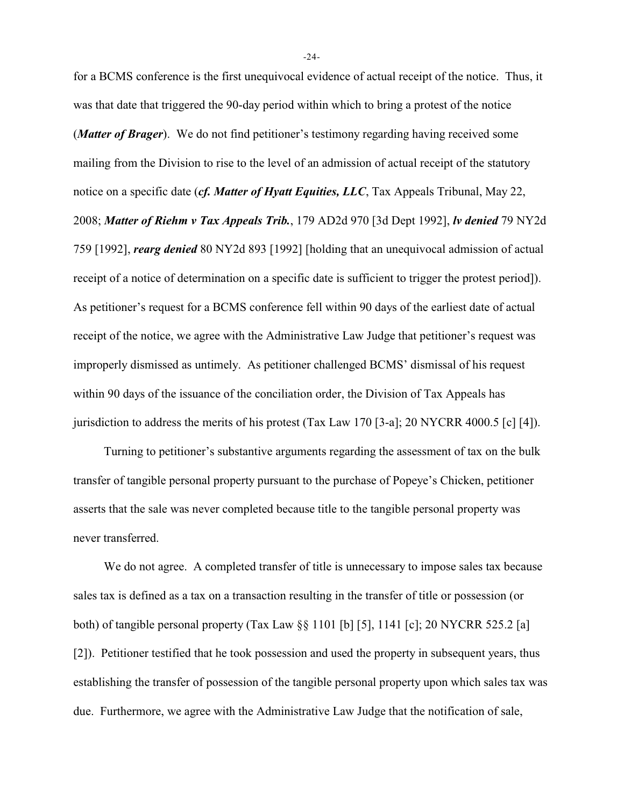for a BCMS conference is the first unequivocal evidence of actual receipt of the notice. Thus, it was that date that triggered the 90-day period within which to bring a protest of the notice (*Matter of Brager*). We do not find petitioner's testimony regarding having received some mailing from the Division to rise to the level of an admission of actual receipt of the statutory notice on a specific date (*cf. Matter of Hyatt Equities, LLC*, Tax Appeals Tribunal, May 22, 2008; *Matter of Riehm v Tax Appeals Trib.*, 179 AD2d 970 [3d Dept 1992], *lv denied* 79 NY2d 759 [1992], *rearg denied* 80 NY2d 893 [1992] [holding that an unequivocal admission of actual receipt of a notice of determination on a specific date is sufficient to trigger the protest period]). As petitioner's request for a BCMS conference fell within 90 days of the earliest date of actual receipt of the notice, we agree with the Administrative Law Judge that petitioner's request was improperly dismissed as untimely. As petitioner challenged BCMS' dismissal of his request within 90 days of the issuance of the conciliation order, the Division of Tax Appeals has jurisdiction to address the merits of his protest (Tax Law 170 [3-a]; 20 NYCRR 4000.5 [c] [4]).

Turning to petitioner's substantive arguments regarding the assessment of tax on the bulk transfer of tangible personal property pursuant to the purchase of Popeye's Chicken, petitioner asserts that the sale was never completed because title to the tangible personal property was never transferred.

We do not agree. A completed transfer of title is unnecessary to impose sales tax because sales tax is defined as a tax on a transaction resulting in the transfer of title or possession (or both) of tangible personal property (Tax Law §§ 1101 [b] [5], 1141 [c]; 20 NYCRR 525.2 [a] [2]). Petitioner testified that he took possession and used the property in subsequent years, thus establishing the transfer of possession of the tangible personal property upon which sales tax was due. Furthermore, we agree with the Administrative Law Judge that the notification of sale,

-24-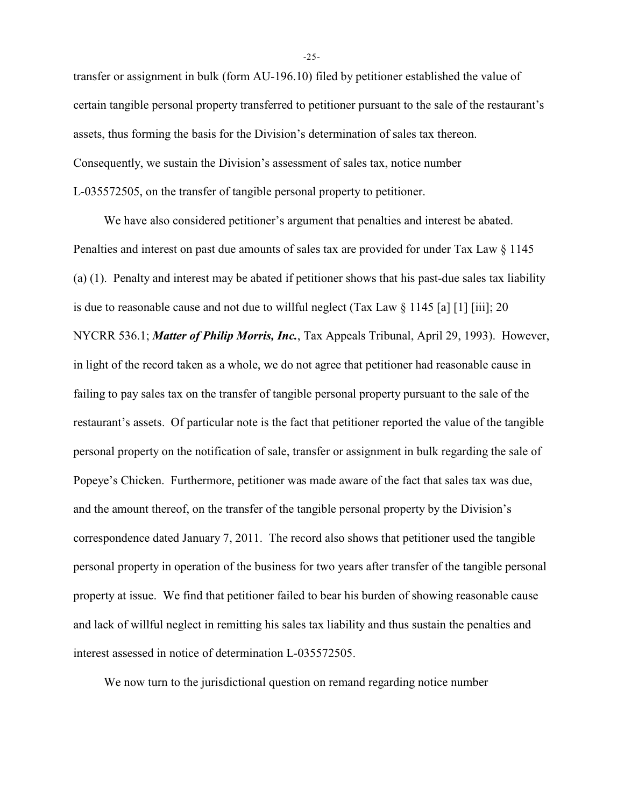transfer or assignment in bulk (form AU-196.10) filed by petitioner established the value of certain tangible personal property transferred to petitioner pursuant to the sale of the restaurant's assets, thus forming the basis for the Division's determination of sales tax thereon. Consequently, we sustain the Division's assessment of sales tax, notice number L-035572505, on the transfer of tangible personal property to petitioner.

We have also considered petitioner's argument that penalties and interest be abated. Penalties and interest on past due amounts of sales tax are provided for under Tax Law § 1145 (a) (1). Penalty and interest may be abated if petitioner shows that his past-due sales tax liability is due to reasonable cause and not due to will ful neglect (Tax Law  $\S 1145$  [a] [1] [iii]; 20 NYCRR 536.1; *Matter of Philip Morris, Inc.*, Tax Appeals Tribunal, April 29, 1993). However, in light of the record taken as a whole, we do not agree that petitioner had reasonable cause in failing to pay sales tax on the transfer of tangible personal property pursuant to the sale of the restaurant's assets. Of particular note is the fact that petitioner reported the value of the tangible personal property on the notification of sale, transfer or assignment in bulk regarding the sale of Popeye's Chicken. Furthermore, petitioner was made aware of the fact that sales tax was due, and the amount thereof, on the transfer of the tangible personal property by the Division's correspondence dated January 7, 2011. The record also shows that petitioner used the tangible personal property in operation of the business for two years after transfer of the tangible personal property at issue. We find that petitioner failed to bear his burden of showing reasonable cause and lack of willful neglect in remitting his sales tax liability and thus sustain the penalties and interest assessed in notice of determination L-035572505.

We now turn to the jurisdictional question on remand regarding notice number

-25-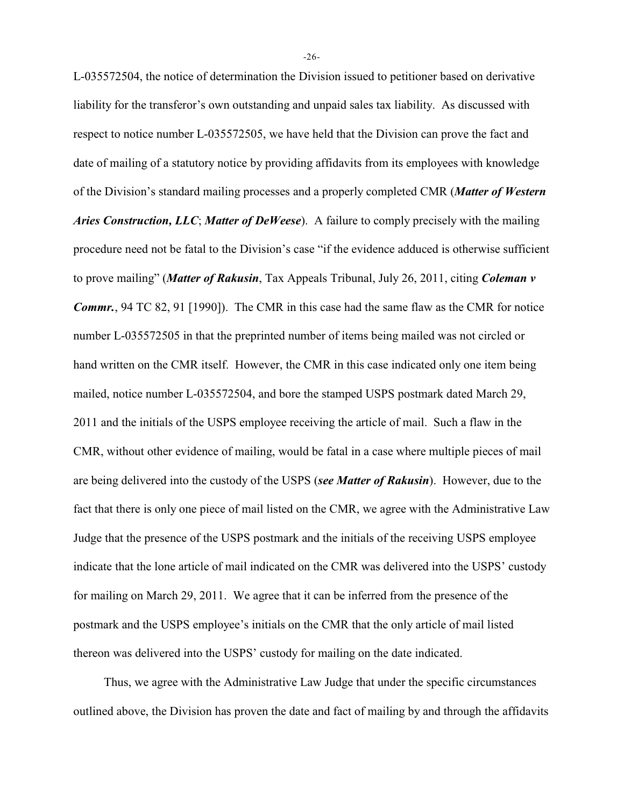L-035572504, the notice of determination the Division issued to petitioner based on derivative liability for the transferor's own outstanding and unpaid sales tax liability. As discussed with respect to notice number L-035572505, we have held that the Division can prove the fact and date of mailing of a statutory notice by providing affidavits from its employees with knowledge of the Division's standard mailing processes and a properly completed CMR (*Matter of Western Aries Construction, LLC*; *Matter of DeWeese*). A failure to comply precisely with the mailing procedure need not be fatal to the Division's case "if the evidence adduced is otherwise sufficient to prove mailing" (*Matter of Rakusin*, Tax Appeals Tribunal, July 26, 2011, citing *Coleman v Commr.*, 94 TC 82, 91 [1990]). The CMR in this case had the same flaw as the CMR for notice number L-035572505 in that the preprinted number of items being mailed was not circled or hand written on the CMR itself. However, the CMR in this case indicated only one item being mailed, notice number L-035572504, and bore the stamped USPS postmark dated March 29, 2011 and the initials of the USPS employee receiving the article of mail. Such a flaw in the CMR, without other evidence of mailing, would be fatal in a case where multiple pieces of mail are being delivered into the custody of the USPS (*see Matter of Rakusin*). However, due to the fact that there is only one piece of mail listed on the CMR, we agree with the Administrative Law Judge that the presence of the USPS postmark and the initials of the receiving USPS employee indicate that the lone article of mail indicated on the CMR was delivered into the USPS' custody for mailing on March 29, 2011. We agree that it can be inferred from the presence of the postmark and the USPS employee's initials on the CMR that the only article of mail listed thereon was delivered into the USPS' custody for mailing on the date indicated.

Thus, we agree with the Administrative Law Judge that under the specific circumstances outlined above, the Division has proven the date and fact of mailing by and through the affidavits

-26-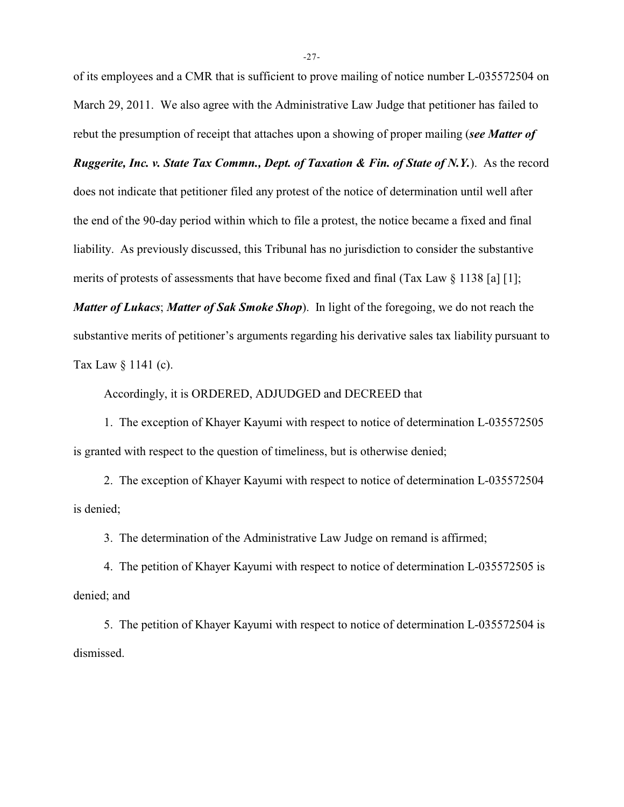of its employees and a CMR that is sufficient to prove mailing of notice number L-035572504 on March 29, 2011. We also agree with the Administrative Law Judge that petitioner has failed to rebut the presumption of receipt that attaches upon a showing of proper mailing (*see Matter of*

*Ruggerite, Inc. v. State Tax Commn., Dept. of Taxation & Fin. of State of N.Y.*). As the record does not indicate that petitioner filed any protest of the notice of determination until well after the end of the 90-day period within which to file a protest, the notice became a fixed and final liability. As previously discussed, this Tribunal has no jurisdiction to consider the substantive merits of protests of assessments that have become fixed and final (Tax Law § 1138 [a] [1];

*Matter of Lukacs*; *Matter of Sak Smoke Shop*). In light of the foregoing, we do not reach the substantive merits of petitioner's arguments regarding his derivative sales tax liability pursuant to Tax Law § 1141 (c).

Accordingly, it is ORDERED, ADJUDGED and DECREED that

1. The exception of Khayer Kayumi with respect to notice of determination L-035572505 is granted with respect to the question of timeliness, but is otherwise denied;

2. The exception of Khayer Kayumi with respect to notice of determination L-035572504 is denied;

3. The determination of the Administrative Law Judge on remand is affirmed;

4. The petition of Khayer Kayumi with respect to notice of determination L-035572505 is denied; and

5. The petition of Khayer Kayumi with respect to notice of determination L-035572504 is dismissed.